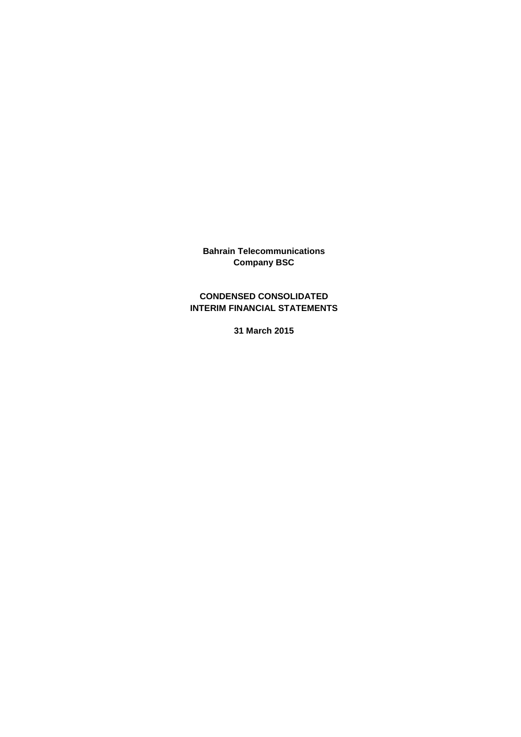**Bahrain Telecommunications Company BSC**

## **CONDENSED CONSOLIDATED INTERIM FINANCIAL STATEMENTS**

**31 March 2015**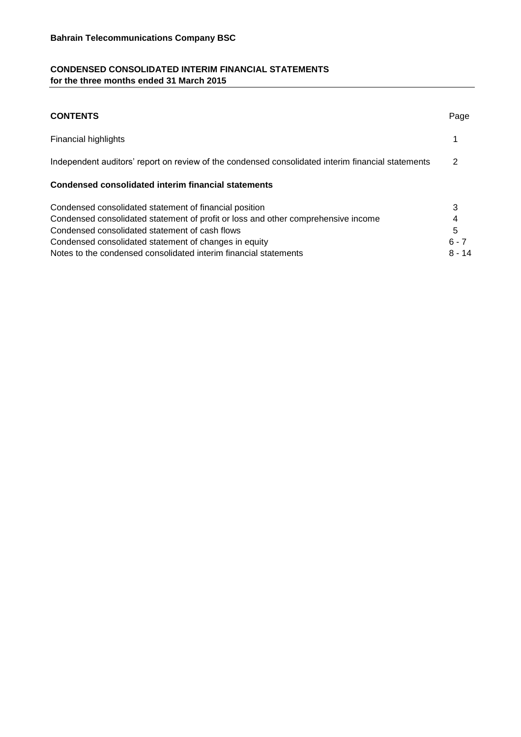## **CONDENSED CONSOLIDATED INTERIM FINANCIAL STATEMENTS for the three months ended 31 March 2015**

| <b>CONTENTS</b>                                                                                   | Page     |
|---------------------------------------------------------------------------------------------------|----------|
| <b>Financial highlights</b>                                                                       |          |
| Independent auditors' report on review of the condensed consolidated interim financial statements | 2        |
| Condensed consolidated interim financial statements                                               |          |
| Condensed consolidated statement of financial position                                            | 3        |
| Condensed consolidated statement of profit or loss and other comprehensive income                 | 4        |
| Condensed consolidated statement of cash flows                                                    | 5        |
| Condensed consolidated statement of changes in equity                                             | $6 - 7$  |
| Notes to the condensed consolidated interim financial statements                                  | $8 - 14$ |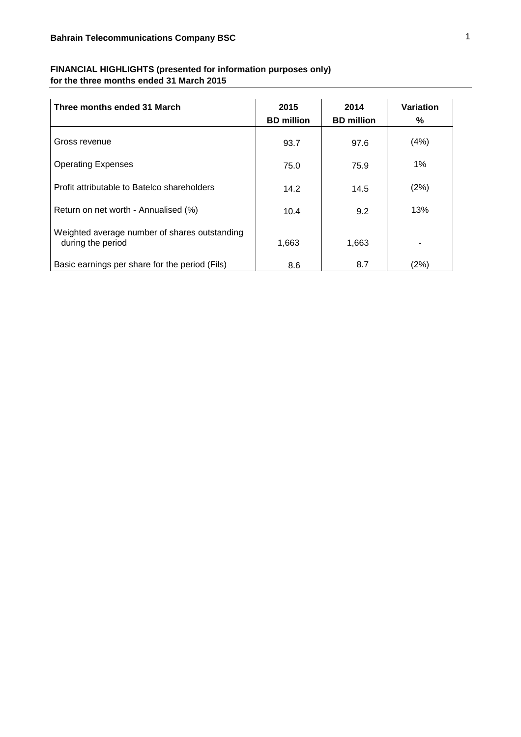| Three months ended 31 March                                        | 2015              | 2014              | Variation |
|--------------------------------------------------------------------|-------------------|-------------------|-----------|
|                                                                    | <b>BD</b> million | <b>BD</b> million | %         |
| Gross revenue                                                      | 93.7              | 97.6              | (4%)      |
| <b>Operating Expenses</b>                                          | 75.0              | 75.9              | $1\%$     |
| Profit attributable to Batelco shareholders                        | 14.2              | 14.5              | (2%)      |
| Return on net worth - Annualised (%)                               | 10.4              | 9.2               | 13%       |
| Weighted average number of shares outstanding<br>during the period | 1,663             | 1,663             | ۰         |
| Basic earnings per share for the period (Fils)                     | 8.6               | 8.7               | (2%)      |

## **FINANCIAL HIGHLIGHTS (presented for information purposes only) for the three months ended 31 March 2015**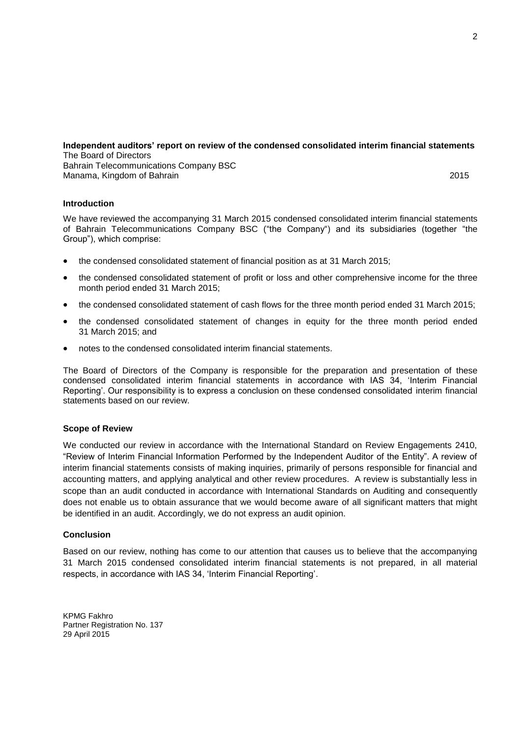#### **Independent auditors' report on review of the condensed consolidated interim financial statements** The Board of Directors Bahrain Telecommunications Company BSC

Manama, Kingdom of Bahrain 2015

## **Introduction**

We have reviewed the accompanying 31 March 2015 condensed consolidated interim financial statements of Bahrain Telecommunications Company BSC ("the Company") and its subsidiaries (together "the Group"), which comprise:

- the condensed consolidated statement of financial position as at 31 March 2015;
- the condensed consolidated statement of profit or loss and other comprehensive income for the three month period ended 31 March 2015;
- the condensed consolidated statement of cash flows for the three month period ended 31 March 2015;
- the condensed consolidated statement of changes in equity for the three month period ended 31 March 2015; and
- notes to the condensed consolidated interim financial statements.

The Board of Directors of the Company is responsible for the preparation and presentation of these condensed consolidated interim financial statements in accordance with IAS 34, 'Interim Financial Reporting'. Our responsibility is to express a conclusion on these condensed consolidated interim financial statements based on our review.

## **Scope of Review**

We conducted our review in accordance with the International Standard on Review Engagements 2410, "Review of Interim Financial Information Performed by the Independent Auditor of the Entity". A review of interim financial statements consists of making inquiries, primarily of persons responsible for financial and accounting matters, and applying analytical and other review procedures. A review is substantially less in scope than an audit conducted in accordance with International Standards on Auditing and consequently does not enable us to obtain assurance that we would become aware of all significant matters that might be identified in an audit. Accordingly, we do not express an audit opinion.

## **Conclusion**

Based on our review, nothing has come to our attention that causes us to believe that the accompanying 31 March 2015 condensed consolidated interim financial statements is not prepared, in all material respects, in accordance with IAS 34, 'Interim Financial Reporting'.

KPMG Fakhro Partner Registration No. 137 29 April 2015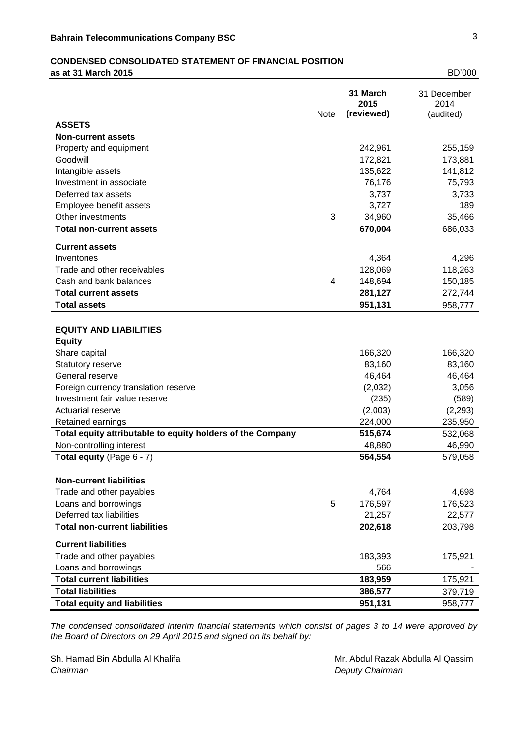# **CONDENSED CONSOLIDATED STATEMENT OF FINANCIAL POSITION**

**as at 31 March 2015** BD'000

|                                                            | <b>Note</b> | 31 March<br>2015<br>(reviewed) | 31 December<br>2014<br>(audited) |
|------------------------------------------------------------|-------------|--------------------------------|----------------------------------|
| <b>ASSETS</b>                                              |             |                                |                                  |
| <b>Non-current assets</b>                                  |             |                                |                                  |
| Property and equipment                                     |             | 242,961                        | 255,159                          |
| Goodwill                                                   |             | 172,821                        | 173,881                          |
| Intangible assets                                          |             | 135,622                        | 141,812                          |
| Investment in associate                                    |             | 76,176                         | 75,793                           |
| Deferred tax assets                                        |             | 3,737                          | 3,733                            |
| Employee benefit assets                                    |             | 3,727                          | 189                              |
| Other investments                                          | 3           | 34,960                         | 35,466                           |
| <b>Total non-current assets</b>                            |             | 670,004                        | 686,033                          |
| <b>Current assets</b>                                      |             |                                |                                  |
| Inventories                                                |             | 4,364                          | 4,296                            |
| Trade and other receivables                                |             | 128,069                        | 118,263                          |
| Cash and bank balances                                     | 4           | 148,694                        | 150,185                          |
| <b>Total current assets</b>                                |             | 281,127                        | 272,744                          |
| <b>Total assets</b>                                        |             | 951,131                        | 958,777                          |
|                                                            |             |                                |                                  |
| <b>EQUITY AND LIABILITIES</b>                              |             |                                |                                  |
| <b>Equity</b>                                              |             |                                |                                  |
| Share capital                                              |             | 166,320                        | 166,320                          |
| Statutory reserve                                          |             | 83,160                         | 83,160                           |
| General reserve                                            |             | 46,464                         | 46,464                           |
| Foreign currency translation reserve                       |             | (2,032)                        | 3,056                            |
| Investment fair value reserve                              |             | (235)                          | (589)                            |
| <b>Actuarial reserve</b>                                   |             | (2,003)                        | (2, 293)                         |
| Retained earnings                                          |             | 224,000                        | 235,950                          |
| Total equity attributable to equity holders of the Company |             | 515,674                        | 532,068                          |
| Non-controlling interest                                   |             | 48,880                         | 46,990                           |
| Total equity (Page 6 - 7)                                  |             | 564,554                        | 579,058                          |
|                                                            |             |                                |                                  |
| <b>Non-current liabilities</b>                             |             |                                |                                  |
| Trade and other payables                                   |             | 4,764                          | 4,698                            |
| Loans and borrowings                                       | 5           | 176,597                        | 176,523                          |
| Deferred tax liabilities                                   |             | 21,257                         | 22,577                           |
| <b>Total non-current liabilities</b>                       |             | 202,618                        | 203,798                          |
| <b>Current liabilities</b>                                 |             |                                |                                  |
| Trade and other payables                                   |             | 183,393                        | 175,921                          |
| Loans and borrowings                                       |             | 566                            |                                  |
| <b>Total current liabilities</b>                           |             | 183,959                        | 175,921                          |
| <b>Total liabilities</b>                                   |             | 386,577                        | 379,719                          |
| <b>Total equity and liabilities</b>                        |             | 951,131                        | 958,777                          |

*The condensed consolidated interim financial statements which consist of pages 3 to 14 were approved by the Board of Directors on 29 April 2015 and signed on its behalf by:*

*Chairman Deputy Chairman*

Sh. Hamad Bin Abdulla Al Khalifa Mr. Abdul Razak Abdulla Al Qassim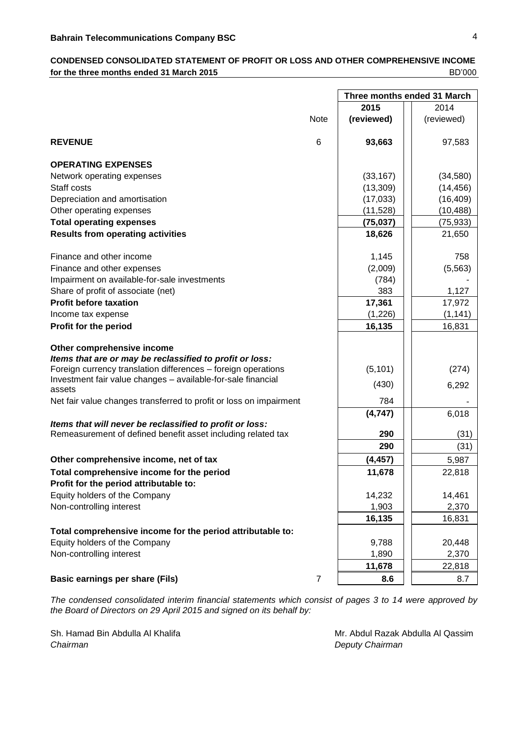## **CONDENSED CONSOLIDATED STATEMENT OF PROFIT OR LOSS AND OTHER COMPREHENSIVE INCOME for the three months ended 31 March 2015 BD'000 BD'000**

|                                                                              |                | Three months ended 31 March |            |
|------------------------------------------------------------------------------|----------------|-----------------------------|------------|
|                                                                              |                | 2015                        | 2014       |
|                                                                              | <b>Note</b>    | (reviewed)                  | (reviewed) |
|                                                                              |                |                             |            |
| <b>REVENUE</b>                                                               | 6              | 93,663                      | 97,583     |
| <b>OPERATING EXPENSES</b>                                                    |                |                             |            |
| Network operating expenses                                                   |                | (33, 167)                   | (34, 580)  |
| Staff costs                                                                  |                | (13,309)                    | (14, 456)  |
| Depreciation and amortisation                                                |                | (17,033)                    | (16, 409)  |
| Other operating expenses                                                     |                | (11,528)                    | (10, 488)  |
| <b>Total operating expenses</b>                                              |                | (75, 037)                   | (75, 933)  |
| <b>Results from operating activities</b>                                     |                | 18,626                      | 21,650     |
| Finance and other income                                                     |                | 1,145                       | 758        |
| Finance and other expenses                                                   |                | (2,009)                     | (5, 563)   |
| Impairment on available-for-sale investments                                 |                | (784)                       |            |
| Share of profit of associate (net)                                           |                | 383                         | 1,127      |
| <b>Profit before taxation</b>                                                |                | 17,361                      | 17,972     |
| Income tax expense                                                           |                | (1,226)                     | (1, 141)   |
| Profit for the period                                                        |                | 16,135                      | 16,831     |
| Other comprehensive income                                                   |                |                             |            |
| Items that are or may be reclassified to profit or loss:                     |                |                             |            |
| Foreign currency translation differences - foreign operations                |                | (5, 101)                    | (274)      |
| Investment fair value changes - available-for-sale financial                 |                | (430)                       | 6,292      |
| assets<br>Net fair value changes transferred to profit or loss on impairment |                | 784                         |            |
|                                                                              |                | (4,747)                     |            |
| Items that will never be reclassified to profit or loss:                     |                |                             | 6,018      |
| Remeasurement of defined benefit asset including related tax                 |                | 290                         | (31)       |
|                                                                              |                | 290                         | (31)       |
| Other comprehensive income, net of tax                                       |                | (4, 457)                    | 5,987      |
| Total comprehensive income for the period                                    |                | 11,678                      | 22,818     |
| Profit for the period attributable to:                                       |                |                             |            |
| Equity holders of the Company                                                |                | 14,232                      | 14,461     |
| Non-controlling interest                                                     |                | 1,903                       | 2,370      |
|                                                                              |                | 16,135                      | 16,831     |
| Total comprehensive income for the period attributable to:                   |                |                             |            |
| Equity holders of the Company                                                |                | 9,788                       | 20,448     |
| Non-controlling interest                                                     |                | 1,890                       | 2,370      |
|                                                                              |                | 11,678                      | 22,818     |
| <b>Basic earnings per share (Fils)</b>                                       | $\overline{7}$ | 8.6                         | 8.7        |

*The condensed consolidated interim financial statements which consist of pages 3 to 14 were approved by the Board of Directors on 29 April 2015 and signed on its behalf by:*

*Chairman Deputy Chairman*

Sh. Hamad Bin Abdulla Al Khalifa Mr. Abdul Razak Abdulla Al Qassim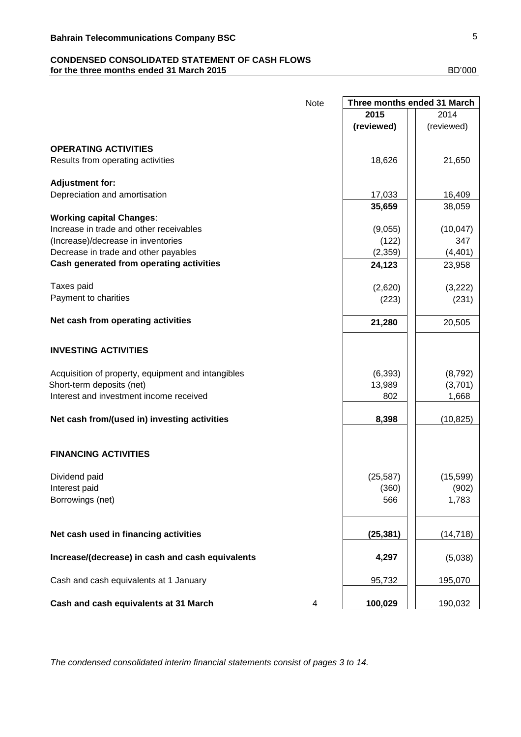## **CONDENSED CONSOLIDATED STATEMENT OF CASH FLOWS for the three months ended 31 March 2015 BD'000 BD'000**

|                                                    | <b>Note</b> | Three months ended 31 March |            |
|----------------------------------------------------|-------------|-----------------------------|------------|
|                                                    |             | 2015                        | 2014       |
|                                                    |             | (reviewed)                  | (reviewed) |
|                                                    |             |                             |            |
| <b>OPERATING ACTIVITIES</b>                        |             |                             |            |
| Results from operating activities                  |             | 18,626                      | 21,650     |
|                                                    |             |                             |            |
| <b>Adjustment for:</b>                             |             |                             |            |
| Depreciation and amortisation                      |             | 17,033                      | 16,409     |
|                                                    |             | 35,659                      | 38,059     |
| <b>Working capital Changes:</b>                    |             |                             |            |
| Increase in trade and other receivables            |             | (9,055)                     | (10, 047)  |
| (Increase)/decrease in inventories                 |             | (122)                       | 347        |
| Decrease in trade and other payables               |             | (2, 359)                    | (4, 401)   |
| Cash generated from operating activities           |             | 24,123                      | 23,958     |
|                                                    |             |                             |            |
| Taxes paid                                         |             | (2,620)                     | (3,222)    |
| Payment to charities                               |             | (223)                       | (231)      |
| Net cash from operating activities                 |             |                             |            |
|                                                    |             | 21,280                      | 20,505     |
|                                                    |             |                             |            |
| <b>INVESTING ACTIVITIES</b>                        |             |                             |            |
|                                                    |             |                             |            |
| Acquisition of property, equipment and intangibles |             | (6, 393)                    | (8, 792)   |
| Short-term deposits (net)                          |             | 13,989                      | (3,701)    |
| Interest and investment income received            |             | 802                         | 1,668      |
|                                                    |             |                             |            |
| Net cash from/(used in) investing activities       |             | 8,398                       | (10, 825)  |
|                                                    |             |                             |            |
| <b>FINANCING ACTIVITIES</b>                        |             |                             |            |
|                                                    |             |                             |            |
| Dividend paid                                      |             | (25, 587)                   | (15, 599)  |
| Interest paid                                      |             | (360)                       | (902)      |
| Borrowings (net)                                   |             | 566                         | 1,783      |
|                                                    |             |                             |            |
|                                                    |             |                             |            |
| Net cash used in financing activities              |             | (25, 381)                   | (14, 718)  |
|                                                    |             |                             |            |
| Increase/(decrease) in cash and cash equivalents   |             | 4,297                       | (5,038)    |
|                                                    |             |                             |            |
| Cash and cash equivalents at 1 January             |             | 95,732                      | 195,070    |
|                                                    |             |                             |            |
| Cash and cash equivalents at 31 March              | 4           | 100,029                     | 190,032    |

*The condensed consolidated interim financial statements consist of pages 3 to 14.*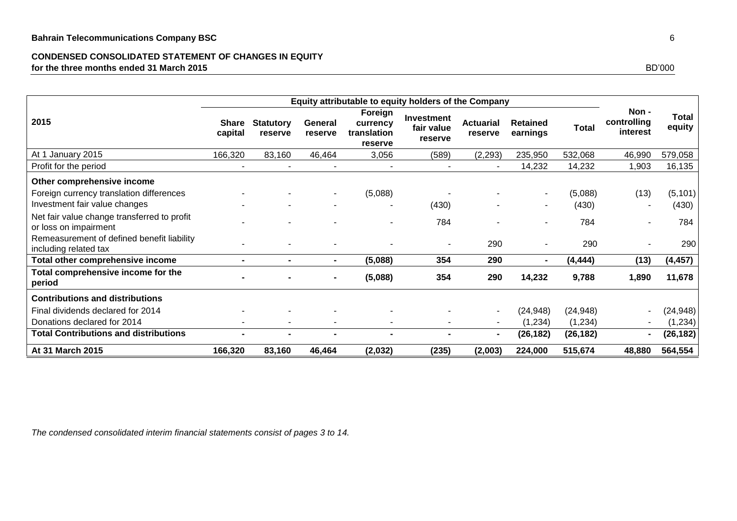## **CONDENSED CONSOLIDATED STATEMENT OF CHANGES IN EQUITY for the three months ended 31 March 2015** BD'000

| 2015                                                                                                  | <b>Share</b><br>capital | <b>Statutory</b><br>reserve | General<br>reserve       | Foreign<br>currency<br>translation<br>reserve | Investment<br>fair value<br>reserve | <b>Actuarial</b><br>reserve | <b>Retained</b><br>earnings | Total        | Non -<br>controlling<br>interest | <b>Total</b><br>equity |
|-------------------------------------------------------------------------------------------------------|-------------------------|-----------------------------|--------------------------|-----------------------------------------------|-------------------------------------|-----------------------------|-----------------------------|--------------|----------------------------------|------------------------|
| At 1 January 2015                                                                                     | 166,320                 | 83,160                      | 46,464                   | 3,056                                         | (589)                               | (2, 293)                    | 235,950                     | 532,068      | 46,990                           | 579,058                |
| Profit for the period                                                                                 |                         |                             |                          |                                               |                                     | $\blacksquare$              | 14,232                      | 14,232       | 1,903                            | 16,135                 |
| Other comprehensive income<br>Foreign currency translation differences                                |                         |                             | ۰.                       | (5,088)                                       |                                     |                             |                             | (5,088)      | (13)                             | (5, 101)               |
| Investment fair value changes<br>Net fair value change transferred to profit<br>or loss on impairment |                         |                             |                          |                                               | (430)<br>784                        |                             |                             | (430)<br>784 |                                  | (430)<br>784           |
| Remeasurement of defined benefit liability<br>including related tax                                   |                         |                             |                          |                                               |                                     | 290                         |                             | 290          |                                  | 290                    |
| <b>Total other comprehensive income</b>                                                               |                         |                             | $\blacksquare$           | (5,088)                                       | 354                                 | 290                         |                             | (4, 444)     | (13)                             | (4, 457)               |
| Total comprehensive income for the<br>period                                                          |                         |                             |                          | (5,088)                                       | 354                                 | 290                         | 14,232                      | 9,788        | 1,890                            | 11,678                 |
| <b>Contributions and distributions</b>                                                                |                         |                             |                          |                                               |                                     |                             |                             |              |                                  |                        |
| Final dividends declared for 2014                                                                     |                         |                             |                          |                                               |                                     | $\sim$                      | (24, 948)                   | (24, 948)    | $\sim$                           | (24, 948)              |
| Donations declared for 2014                                                                           |                         | $\overline{\phantom{a}}$    | $\overline{\phantom{a}}$ |                                               | $\overline{\phantom{a}}$            | $\sim$                      | (1,234)                     | (1,234)      |                                  | (1, 234)               |
| <b>Total Contributions and distributions</b>                                                          |                         | $\blacksquare$              |                          |                                               | $\blacksquare$                      | $\blacksquare$              | (26, 182)                   | (26, 182)    | $\blacksquare$                   | (26, 182)              |
| At 31 March 2015                                                                                      | 166,320                 | 83,160                      | 46,464                   | (2,032)                                       | (235)                               | (2,003)                     | 224,000                     | 515,674      | 48,880                           | 564,554                |

*The condensed consolidated interim financial statements consist of pages 3 to 14.*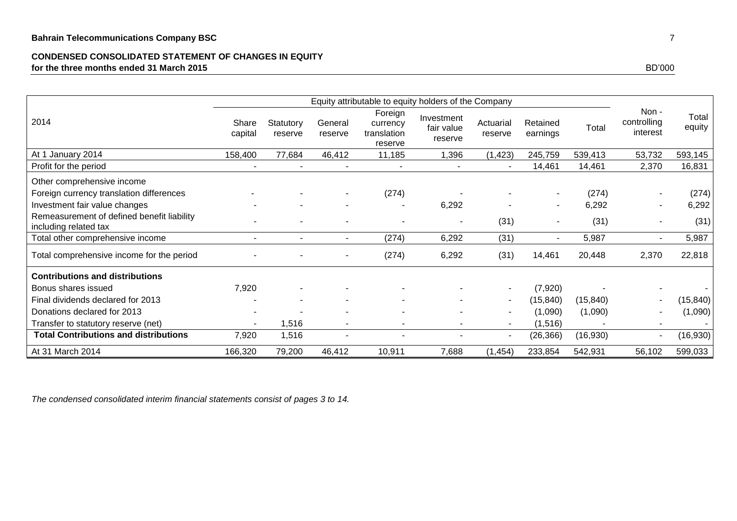## **CONDENSED CONSOLIDATED STATEMENT OF CHANGES IN EQUITY for the three months ended 31 March 2015** BD'000

|                                                                     |                  | Equity attributable to equity holders of the Company |                    |                                               |                                     |                          |                      |           |                                 |                 |
|---------------------------------------------------------------------|------------------|------------------------------------------------------|--------------------|-----------------------------------------------|-------------------------------------|--------------------------|----------------------|-----------|---------------------------------|-----------------|
| 2014                                                                | Share<br>capital | Statutory<br>reserve                                 | General<br>reserve | Foreign<br>currency<br>translation<br>reserve | Investment<br>fair value<br>reserve | Actuarial<br>reserve     | Retained<br>earnings | Total     | Non-<br>controlling<br>interest | Total<br>equity |
| At 1 January 2014                                                   | 158,400          | 77,684                                               | 46,412             | 11,185                                        | 1,396                               | (1, 423)                 | 245,759              | 539,413   | 53,732                          | 593,145         |
| Profit for the period                                               |                  |                                                      |                    |                                               |                                     |                          | 14,461               | 14,461    | 2,370                           | 16,831          |
| Other comprehensive income                                          |                  |                                                      |                    |                                               |                                     |                          |                      |           |                                 |                 |
| Foreign currency translation differences                            |                  |                                                      |                    | (274)                                         |                                     |                          |                      | (274)     |                                 | (274)           |
| Investment fair value changes                                       |                  |                                                      |                    |                                               | 6,292                               |                          |                      | 6,292     |                                 | 6,292           |
| Remeasurement of defined benefit liability<br>including related tax |                  |                                                      |                    |                                               | $\blacksquare$                      | (31)                     |                      | (31)      |                                 | (31)            |
| Total other comprehensive income                                    |                  |                                                      | $\sim$             | (274)                                         | 6,292                               | (31)                     |                      | 5,987     |                                 | 5,987           |
| Total comprehensive income for the period                           |                  |                                                      |                    | (274)                                         | 6,292                               | (31)                     | 14,461               | 20,448    | 2,370                           | 22,818          |
| <b>Contributions and distributions</b>                              |                  |                                                      |                    |                                               |                                     |                          |                      |           |                                 |                 |
| Bonus shares issued                                                 | 7,920            |                                                      |                    |                                               |                                     |                          | (7,920)              |           |                                 |                 |
| Final dividends declared for 2013                                   |                  |                                                      |                    |                                               |                                     | $\overline{\phantom{a}}$ | (15, 840)            | (15, 840) |                                 | (15, 840)       |
| Donations declared for 2013                                         |                  |                                                      |                    |                                               |                                     |                          | (1,090)              | (1,090)   |                                 | (1,090)         |
| Transfer to statutory reserve (net)                                 |                  | 1,516                                                |                    |                                               |                                     | $\overline{\phantom{a}}$ | (1,516)              |           |                                 |                 |
| <b>Total Contributions and distributions</b>                        | 7,920            | 1,516                                                |                    |                                               |                                     |                          | (26, 366)            | (16,930)  | $\blacksquare$                  | (16,930)        |
| At 31 March 2014                                                    | 166,320          | 79,200                                               | 46,412             | 10,911                                        | 7,688                               | (1, 454)                 | 233,854              | 542,931   | 56,102                          | 599,033         |

*The condensed consolidated interim financial statements consist of pages 3 to 14.*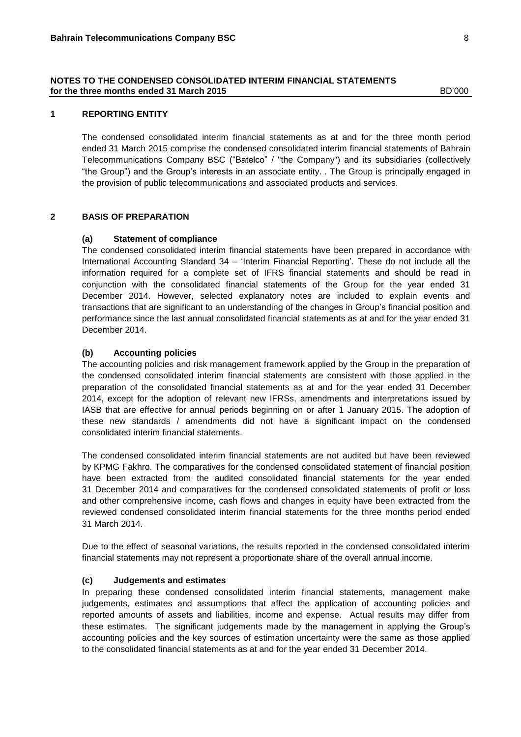## **1 REPORTING ENTITY**

The condensed consolidated interim financial statements as at and for the three month period ended 31 March 2015 comprise the condensed consolidated interim financial statements of Bahrain Telecommunications Company BSC ("Batelco" / "the Company") and its subsidiaries (collectively "the Group") and the Group's interests in an associate entity. . The Group is principally engaged in the provision of public telecommunications and associated products and services.

## **2 BASIS OF PREPARATION**

#### **(a) Statement of compliance**

The condensed consolidated interim financial statements have been prepared in accordance with International Accounting Standard 34 – 'Interim Financial Reporting'. These do not include all the information required for a complete set of IFRS financial statements and should be read in conjunction with the consolidated financial statements of the Group for the year ended 31 December 2014. However, selected explanatory notes are included to explain events and transactions that are significant to an understanding of the changes in Group's financial position and performance since the last annual consolidated financial statements as at and for the year ended 31 December 2014.

#### **(b) Accounting policies**

The accounting policies and risk management framework applied by the Group in the preparation of the condensed consolidated interim financial statements are consistent with those applied in the preparation of the consolidated financial statements as at and for the year ended 31 December 2014, except for the adoption of relevant new IFRSs, amendments and interpretations issued by IASB that are effective for annual periods beginning on or after 1 January 2015. The adoption of these new standards / amendments did not have a significant impact on the condensed consolidated interim financial statements.

The condensed consolidated interim financial statements are not audited but have been reviewed by KPMG Fakhro. The comparatives for the condensed consolidated statement of financial position have been extracted from the audited consolidated financial statements for the year ended 31 December 2014 and comparatives for the condensed consolidated statements of profit or loss and other comprehensive income, cash flows and changes in equity have been extracted from the reviewed condensed consolidated interim financial statements for the three months period ended 31 March 2014.

Due to the effect of seasonal variations, the results reported in the condensed consolidated interim financial statements may not represent a proportionate share of the overall annual income.

#### **(c) Judgements and estimates**

In preparing these condensed consolidated interim financial statements, management make judgements, estimates and assumptions that affect the application of accounting policies and reported amounts of assets and liabilities, income and expense. Actual results may differ from these estimates. The significant judgements made by the management in applying the Group's accounting policies and the key sources of estimation uncertainty were the same as those applied to the consolidated financial statements as at and for the year ended 31 December 2014.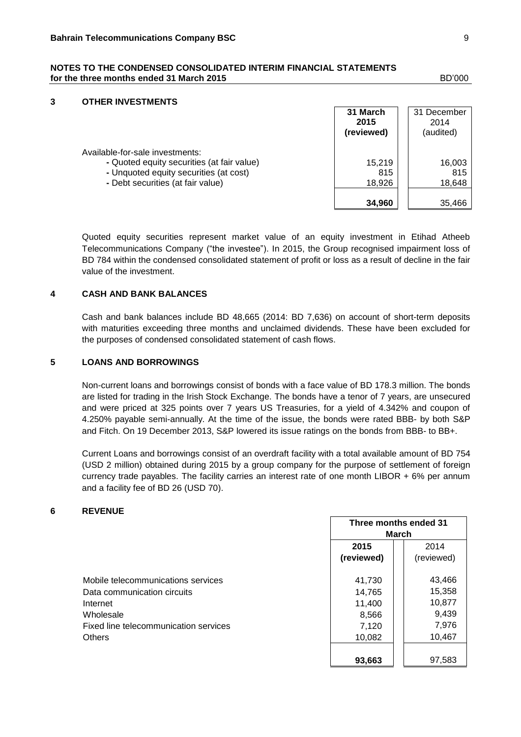## **3 OTHER INVESTMENTS**

|                                                                                                                                                              | 31 March<br>2015<br>(reviewed) | 31 December<br>2014<br>(audited) |
|--------------------------------------------------------------------------------------------------------------------------------------------------------------|--------------------------------|----------------------------------|
| Available-for-sale investments:<br>- Quoted equity securities (at fair value)<br>- Unquoted equity securities (at cost)<br>- Debt securities (at fair value) | 15.219<br>815<br>18.926        | 16,003<br>815<br>18,648          |
|                                                                                                                                                              | 34.960                         | 35.466                           |

Quoted equity securities represent market value of an equity investment in Etihad Atheeb Telecommunications Company ("the investee"). In 2015, the Group recognised impairment loss of BD 784 within the condensed consolidated statement of profit or loss as a result of decline in the fair value of the investment.

## **4 CASH AND BANK BALANCES**

Cash and bank balances include BD 48,665 (2014: BD 7,636) on account of short-term deposits with maturities exceeding three months and unclaimed dividends. These have been excluded for the purposes of condensed consolidated statement of cash flows.

#### **5 LOANS AND BORROWINGS**

Non-current loans and borrowings consist of bonds with a face value of BD 178.3 million. The bonds are listed for trading in the Irish Stock Exchange. The bonds have a tenor of 7 years, are unsecured and were priced at 325 points over 7 years US Treasuries, for a yield of 4.342% and coupon of 4.250% payable semi-annually. At the time of the issue, the bonds were rated BBB- by both S&P and Fitch. On 19 December 2013, S&P lowered its issue ratings on the bonds from BBB- to BB+.

Current Loans and borrowings consist of an overdraft facility with a total available amount of BD 754 (USD 2 million) obtained during 2015 by a group company for the purpose of settlement of foreign currency trade payables. The facility carries an interest rate of one month LIBOR + 6% per annum and a facility fee of BD 26 (USD 70).

#### **6 REVENUE**

|                                       |            | Three months ended 31<br>March |  |  |  |
|---------------------------------------|------------|--------------------------------|--|--|--|
|                                       | 2015       | 2014                           |  |  |  |
|                                       | (reviewed) | (reviewed)                     |  |  |  |
| Mobile telecommunications services    | 41,730     | 43,466                         |  |  |  |
| Data communication circuits           | 14,765     | 15,358                         |  |  |  |
| Internet                              | 11,400     | 10,877                         |  |  |  |
| Wholesale                             | 8,566      | 9,439                          |  |  |  |
| Fixed line telecommunication services | 7,120      | 7,976                          |  |  |  |
| <b>Others</b>                         | 10,082     | 10,467                         |  |  |  |
|                                       | 93,663     | 97,583                         |  |  |  |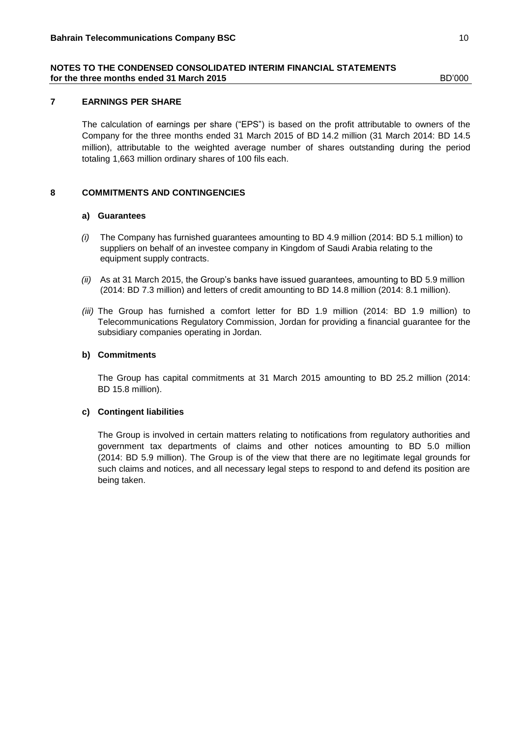## **7 EARNINGS PER SHARE**

The calculation of earnings per share ("EPS") is based on the profit attributable to owners of the Company for the three months ended 31 March 2015 of BD 14.2 million (31 March 2014: BD 14.5 million), attributable to the weighted average number of shares outstanding during the period totaling 1,663 million ordinary shares of 100 fils each.

## **8 COMMITMENTS AND CONTINGENCIES**

#### **a) Guarantees**

- *(i)* The Company has furnished guarantees amounting to BD 4.9 million (2014: BD 5.1 million) to suppliers on behalf of an investee company in Kingdom of Saudi Arabia relating to the equipment supply contracts.
- *(ii)* As at 31 March 2015, the Group's banks have issued guarantees, amounting to BD 5.9 million (2014: BD 7.3 million) and letters of credit amounting to BD 14.8 million (2014: 8.1 million).
- *(iii)* The Group has furnished a comfort letter for BD 1.9 million (2014: BD 1.9 million) to Telecommunications Regulatory Commission, Jordan for providing a financial guarantee for the subsidiary companies operating in Jordan.

#### **b) Commitments**

The Group has capital commitments at 31 March 2015 amounting to BD 25.2 million (2014: BD 15.8 million).

#### **c) Contingent liabilities**

The Group is involved in certain matters relating to notifications from regulatory authorities and government tax departments of claims and other notices amounting to BD 5.0 million (2014: BD 5.9 million). The Group is of the view that there are no legitimate legal grounds for such claims and notices, and all necessary legal steps to respond to and defend its position are being taken.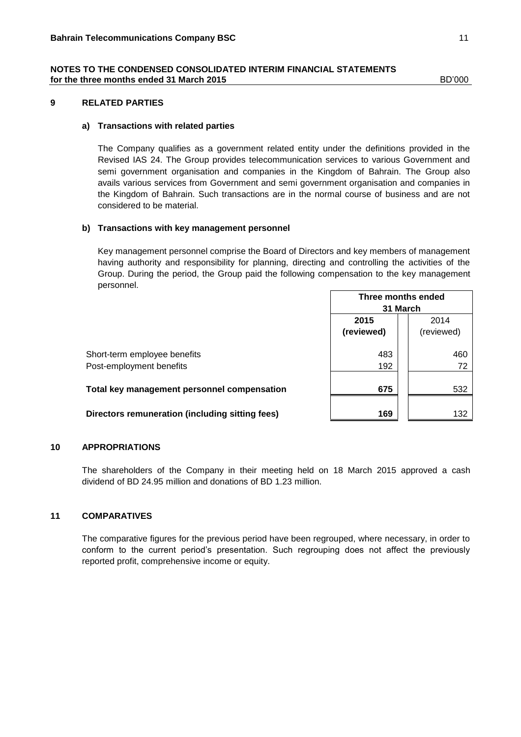#### **9 RELATED PARTIES**

#### **a) Transactions with related parties**

The Company qualifies as a government related entity under the definitions provided in the Revised IAS 24. The Group provides telecommunication services to various Government and semi government organisation and companies in the Kingdom of Bahrain. The Group also avails various services from Government and semi government organisation and companies in the Kingdom of Bahrain. Such transactions are in the normal course of business and are not considered to be material.

## **b) Transactions with key management personnel**

Key management personnel comprise the Board of Directors and key members of management having authority and responsibility for planning, directing and controlling the activities of the Group. During the period, the Group paid the following compensation to the key management personnel.  $\Gamma$ 

|                                                          | Three months ended<br>31 March |                    |
|----------------------------------------------------------|--------------------------------|--------------------|
|                                                          | 2015<br>(reviewed)             | 2014<br>(reviewed) |
| Short-term employee benefits<br>Post-employment benefits | 483<br>192                     | 460<br>72          |
| Total key management personnel compensation              | 675                            | 532                |
| Directors remuneration (including sitting fees)          | 169                            | 132                |

#### **10 APPROPRIATIONS**

The shareholders of the Company in their meeting held on 18 March 2015 approved a cash dividend of BD 24.95 million and donations of BD 1.23 million.

## **11 COMPARATIVES**

The comparative figures for the previous period have been regrouped, where necessary, in order to conform to the current period's presentation. Such regrouping does not affect the previously reported profit, comprehensive income or equity.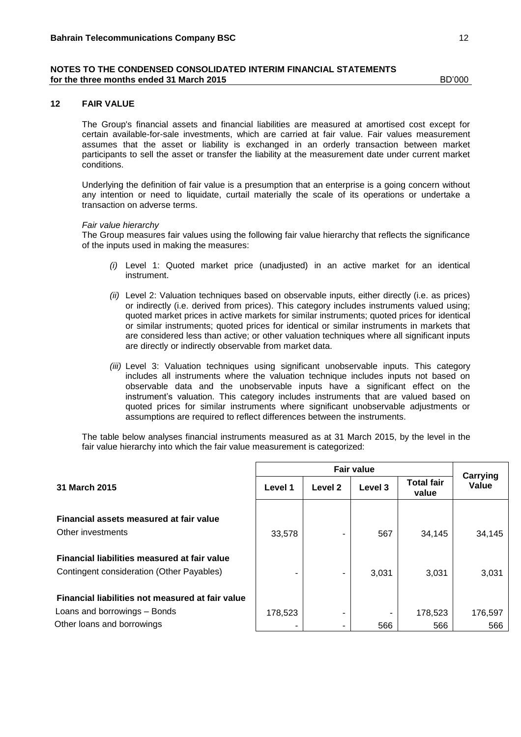#### **12 FAIR VALUE**

The Group's financial assets and financial liabilities are measured at amortised cost except for certain available-for-sale investments, which are carried at fair value. Fair values measurement assumes that the asset or liability is exchanged in an orderly transaction between market participants to sell the asset or transfer the liability at the measurement date under current market conditions.

Underlying the definition of fair value is a presumption that an enterprise is a going concern without any intention or need to liquidate, curtail materially the scale of its operations or undertake a transaction on adverse terms.

#### *Fair value hierarchy*

The Group measures fair values using the following fair value hierarchy that reflects the significance of the inputs used in making the measures:

- *(i)* Level 1: Quoted market price (unadjusted) in an active market for an identical instrument.
- *(ii)* Level 2: Valuation techniques based on observable inputs, either directly (i.e. as prices) or indirectly (i.e. derived from prices). This category includes instruments valued using; quoted market prices in active markets for similar instruments; quoted prices for identical or similar instruments; quoted prices for identical or similar instruments in markets that are considered less than active; or other valuation techniques where all significant inputs are directly or indirectly observable from market data.
- *(iii)* Level 3: Valuation techniques using significant unobservable inputs. This category includes all instruments where the valuation technique includes inputs not based on observable data and the unobservable inputs have a significant effect on the instrument's valuation. This category includes instruments that are valued based on quoted prices for similar instruments where significant unobservable adjustments or assumptions are required to reflect differences between the instruments.

The table below analyses financial instruments measured as at 31 March 2015, by the level in the fair value hierarchy into which the fair value measurement is categorized:

|                                                                                                                |              | <b>Fair value</b> |         |                            |                   |  |  |  |  |
|----------------------------------------------------------------------------------------------------------------|--------------|-------------------|---------|----------------------------|-------------------|--|--|--|--|
| 31 March 2015                                                                                                  | Level 1      | Level 2           | Level 3 | <b>Total fair</b><br>value | Carrying<br>Value |  |  |  |  |
| Financial assets measured at fair value<br>Other investments                                                   | 33,578       |                   | 567     | 34,145                     | 34,145            |  |  |  |  |
| Financial liabilities measured at fair value<br>Contingent consideration (Other Payables)                      | ۰            | ۰                 | 3,031   | 3,031                      | 3,031             |  |  |  |  |
| Financial liabilities not measured at fair value<br>Loans and borrowings – Bonds<br>Other loans and borrowings | 178,523<br>٠ | ۰<br>۰            | 566     | 178,523<br>566             | 176,597<br>566    |  |  |  |  |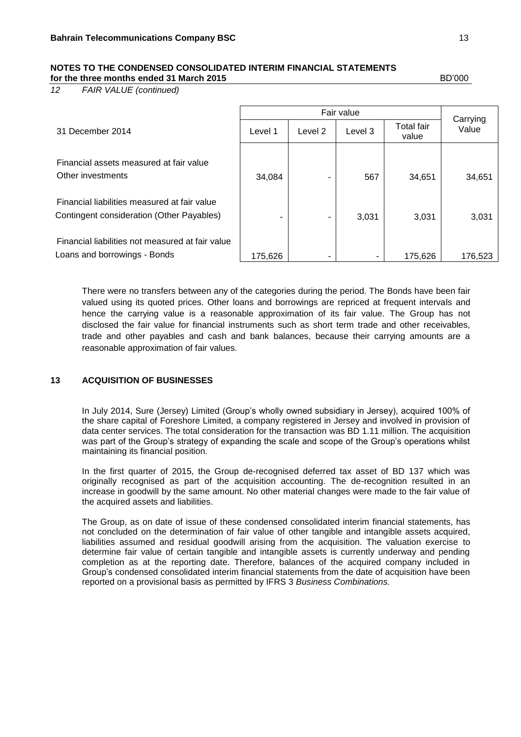*12 FAIR VALUE (continued)*

Fair value<br>
2 Lovel 3 Total fair Carrying<br>
Value 31 December <sup>2014</sup> Level 1 Level 2 Level 3 Value Total fair value Financial assets measured at fair value Other investments 1 34,084 - 567 34,651 34,651 Financial liabilities measured at fair value Contingent consideration (Other Payables) - - 3,031 3,031 3,031 Financial liabilities not measured at fair value Loans and borrowings - Bonds  $\begin{vmatrix} 175,626 & - \end{vmatrix}$   $\begin{vmatrix} -1 & -1 \end{vmatrix}$   $\begin{vmatrix} -175,626 & 176,523 \end{vmatrix}$ 

There were no transfers between any of the categories during the period. The Bonds have been fair valued using its quoted prices. Other loans and borrowings are repriced at frequent intervals and hence the carrying value is a reasonable approximation of its fair value. The Group has not disclosed the fair value for financial instruments such as short term trade and other receivables, trade and other payables and cash and bank balances, because their carrying amounts are a reasonable approximation of fair values.

## **13 ACQUISITION OF BUSINESSES**

In July 2014, Sure (Jersey) Limited (Group's wholly owned subsidiary in Jersey), acquired 100% of the share capital of Foreshore Limited, a company registered in Jersey and involved in provision of data center services. The total consideration for the transaction was BD 1.11 million. The acquisition was part of the Group's strategy of expanding the scale and scope of the Group's operations whilst maintaining its financial position.

In the first quarter of 2015, the Group de-recognised deferred tax asset of BD 137 which was originally recognised as part of the acquisition accounting. The de-recognition resulted in an increase in goodwill by the same amount. No other material changes were made to the fair value of the acquired assets and liabilities.

The Group, as on date of issue of these condensed consolidated interim financial statements, has not concluded on the determination of fair value of other tangible and intangible assets acquired, liabilities assumed and residual goodwill arising from the acquisition. The valuation exercise to determine fair value of certain tangible and intangible assets is currently underway and pending completion as at the reporting date. Therefore, balances of the acquired company included in Group's condensed consolidated interim financial statements from the date of acquisition have been reported on a provisional basis as permitted by IFRS 3 *Business Combinations.*